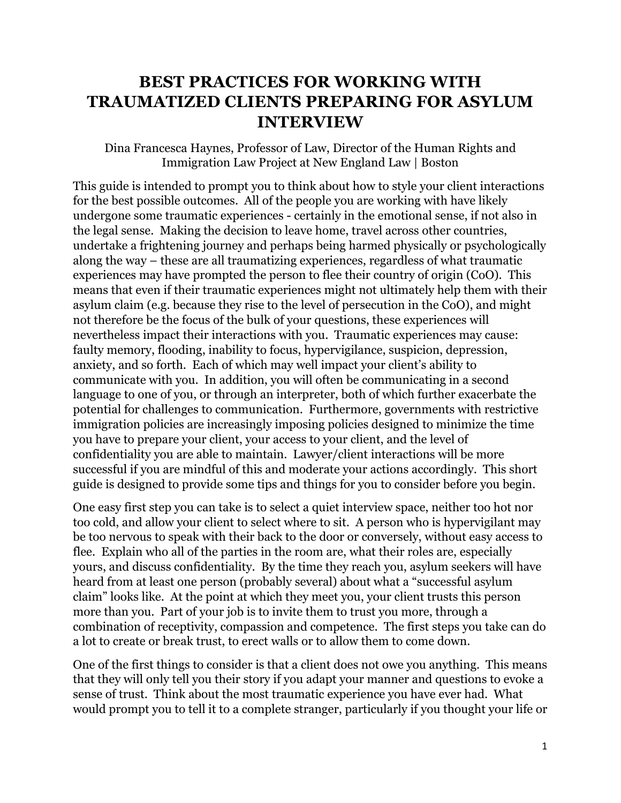## **BEST PRACTICES FOR WORKING WITH TRAUMATIZED CLIENTS PREPARING FOR ASYLUM INTERVIEW**

Dina Francesca Haynes, Professor of Law, Director of the Human Rights and Immigration Law Project at New England Law | Boston

This guide is intended to prompt you to think about how to style your client interactions for the best possible outcomes. All of the people you are working with have likely undergone some traumatic experiences - certainly in the emotional sense, if not also in the legal sense. Making the decision to leave home, travel across other countries, undertake a frightening journey and perhaps being harmed physically or psychologically along the way – these are all traumatizing experiences, regardless of what traumatic experiences may have prompted the person to flee their country of origin (CoO). This means that even if their traumatic experiences might not ultimately help them with their asylum claim (e.g. because they rise to the level of persecution in the CoO), and might not therefore be the focus of the bulk of your questions, these experiences will nevertheless impact their interactions with you. Traumatic experiences may cause: faulty memory, flooding, inability to focus, hypervigilance, suspicion, depression, anxiety, and so forth. Each of which may well impact your client's ability to communicate with you. In addition, you will often be communicating in a second language to one of you, or through an interpreter, both of which further exacerbate the potential for challenges to communication. Furthermore, governments with restrictive immigration policies are increasingly imposing policies designed to minimize the time you have to prepare your client, your access to your client, and the level of confidentiality you are able to maintain. Lawyer/client interactions will be more successful if you are mindful of this and moderate your actions accordingly. This short guide is designed to provide some tips and things for you to consider before you begin.

One easy first step you can take is to select a quiet interview space, neither too hot nor too cold, and allow your client to select where to sit. A person who is hypervigilant may be too nervous to speak with their back to the door or conversely, without easy access to flee. Explain who all of the parties in the room are, what their roles are, especially yours, and discuss confidentiality. By the time they reach you, asylum seekers will have heard from at least one person (probably several) about what a "successful asylum claim" looks like. At the point at which they meet you, your client trusts this person more than you. Part of your job is to invite them to trust you more, through a combination of receptivity, compassion and competence. The first steps you take can do a lot to create or break trust, to erect walls or to allow them to come down.

One of the first things to consider is that a client does not owe you anything. This means that they will only tell you their story if you adapt your manner and questions to evoke a sense of trust. Think about the most traumatic experience you have ever had. What would prompt you to tell it to a complete stranger, particularly if you thought your life or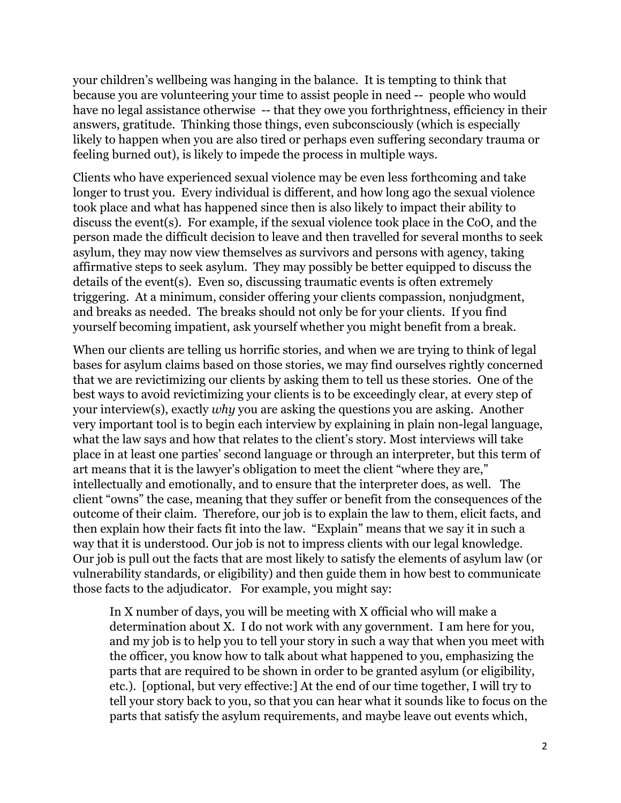your children's wellbeing was hanging in the balance. It is tempting to think that because you are volunteering your time to assist people in need -- people who would have no legal assistance otherwise -- that they owe you forthrightness, efficiency in their answers, gratitude. Thinking those things, even subconsciously (which is especially likely to happen when you are also tired or perhaps even suffering secondary trauma or feeling burned out), is likely to impede the process in multiple ways.

Clients who have experienced sexual violence may be even less forthcoming and take longer to trust you. Every individual is different, and how long ago the sexual violence took place and what has happened since then is also likely to impact their ability to discuss the event(s). For example, if the sexual violence took place in the CoO, and the person made the difficult decision to leave and then travelled for several months to seek asylum, they may now view themselves as survivors and persons with agency, taking affirmative steps to seek asylum. They may possibly be better equipped to discuss the details of the event(s). Even so, discussing traumatic events is often extremely triggering. At a minimum, consider offering your clients compassion, nonjudgment, and breaks as needed. The breaks should not only be for your clients. If you find yourself becoming impatient, ask yourself whether you might benefit from a break.

When our clients are telling us horrific stories, and when we are trying to think of legal bases for asylum claims based on those stories, we may find ourselves rightly concerned that we are revictimizing our clients by asking them to tell us these stories. One of the best ways to avoid revictimizing your clients is to be exceedingly clear, at every step of your interview(s), exactly *why* you are asking the questions you are asking. Another very important tool is to begin each interview by explaining in plain non-legal language, what the law says and how that relates to the client's story. Most interviews will take place in at least one parties' second language or through an interpreter, but this term of art means that it is the lawyer's obligation to meet the client "where they are," intellectually and emotionally, and to ensure that the interpreter does, as well. The client "owns" the case, meaning that they suffer or benefit from the consequences of the outcome of their claim. Therefore, our job is to explain the law to them, elicit facts, and then explain how their facts fit into the law. "Explain" means that we say it in such a way that it is understood. Our job is not to impress clients with our legal knowledge. Our job is pull out the facts that are most likely to satisfy the elements of asylum law (or vulnerability standards, or eligibility) and then guide them in how best to communicate those facts to the adjudicator. For example, you might say:

In X number of days, you will be meeting with X official who will make a determination about X. I do not work with any government. I am here for you, and my job is to help you to tell your story in such a way that when you meet with the officer, you know how to talk about what happened to you, emphasizing the parts that are required to be shown in order to be granted asylum (or eligibility, etc.). [optional, but very effective:] At the end of our time together, I will try to tell your story back to you, so that you can hear what it sounds like to focus on the parts that satisfy the asylum requirements, and maybe leave out events which,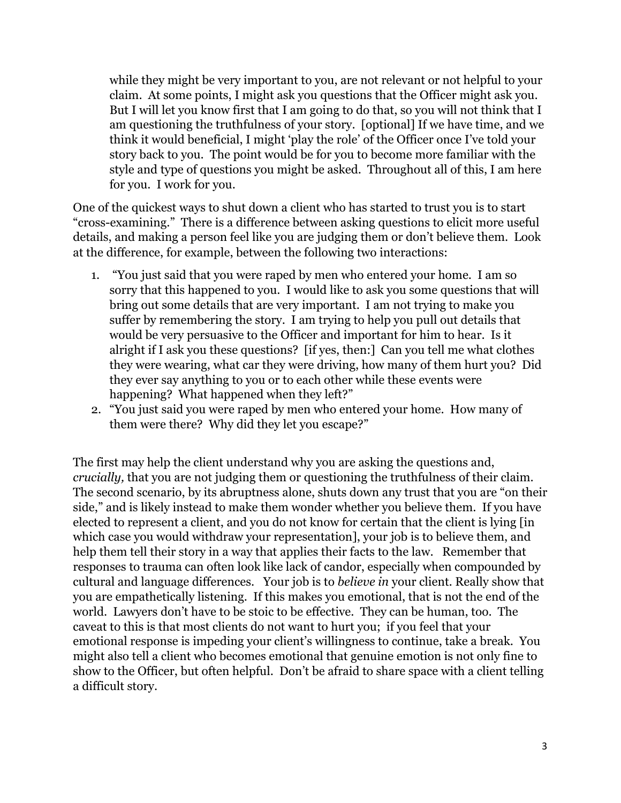while they might be very important to you, are not relevant or not helpful to your claim. At some points, I might ask you questions that the Officer might ask you. But I will let you know first that I am going to do that, so you will not think that I am questioning the truthfulness of your story. [optional] If we have time, and we think it would beneficial, I might 'play the role' of the Officer once I've told your story back to you. The point would be for you to become more familiar with the style and type of questions you might be asked. Throughout all of this, I am here for you. I work for you.

One of the quickest ways to shut down a client who has started to trust you is to start "cross-examining." There is a difference between asking questions to elicit more useful details, and making a person feel like you are judging them or don't believe them. Look at the difference, for example, between the following two interactions:

- 1. "You just said that you were raped by men who entered your home. I am so sorry that this happened to you. I would like to ask you some questions that will bring out some details that are very important. I am not trying to make you suffer by remembering the story. I am trying to help you pull out details that would be very persuasive to the Officer and important for him to hear. Is it alright if I ask you these questions? [if yes, then:] Can you tell me what clothes they were wearing, what car they were driving, how many of them hurt you? Did they ever say anything to you or to each other while these events were happening? What happened when they left?"
- 2. "You just said you were raped by men who entered your home. How many of them were there? Why did they let you escape?"

The first may help the client understand why you are asking the questions and, *crucially,* that you are not judging them or questioning the truthfulness of their claim. The second scenario, by its abruptness alone, shuts down any trust that you are "on their side," and is likely instead to make them wonder whether you believe them. If you have elected to represent a client, and you do not know for certain that the client is lying [in which case you would withdraw your representation], your job is to believe them, and help them tell their story in a way that applies their facts to the law. Remember that responses to trauma can often look like lack of candor, especially when compounded by cultural and language differences. Your job is to *believe in* your client*.* Really show that you are empathetically listening. If this makes you emotional, that is not the end of the world. Lawyers don't have to be stoic to be effective. They can be human, too. The caveat to this is that most clients do not want to hurt you; if you feel that your emotional response is impeding your client's willingness to continue, take a break. You might also tell a client who becomes emotional that genuine emotion is not only fine to show to the Officer, but often helpful. Don't be afraid to share space with a client telling a difficult story.